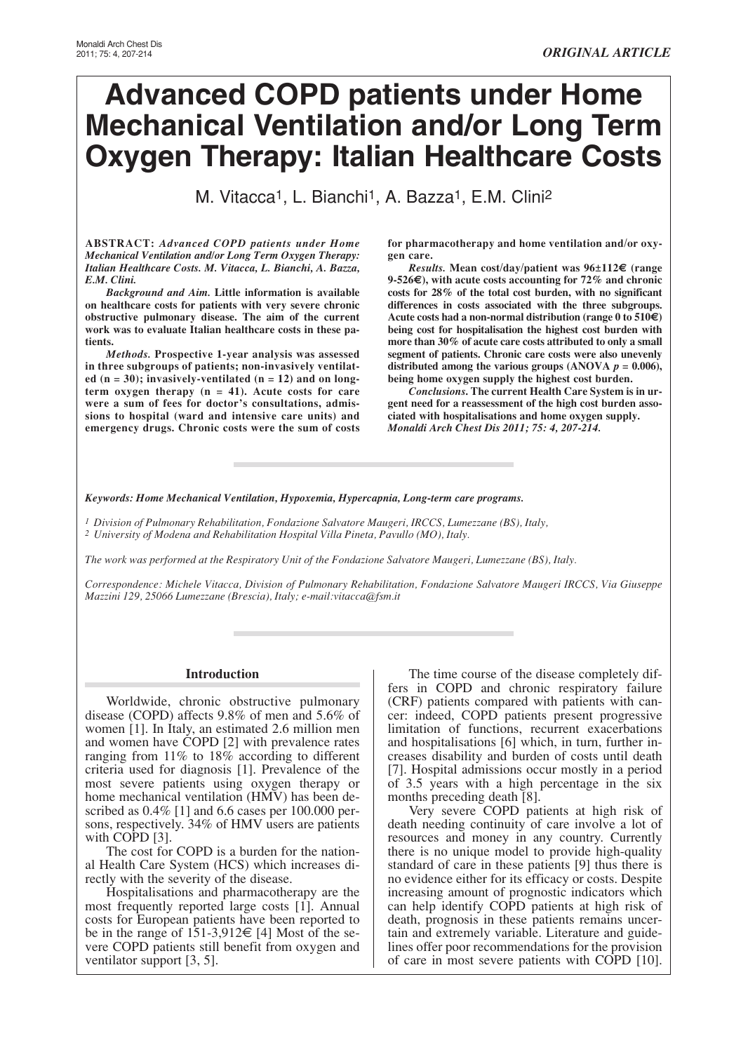# **Advanced COPD patients under Home Mechanical Ventilation and/or Long Term Oxygen Therapy: Italian Healthcare Costs**

M. Vitacca<sup>1</sup>, L. Bianchi<sup>1</sup>, A. Bazza<sup>1</sup>, E.M. Clini<sup>2</sup>

**ABSTRACT:** *Advanced COPD patients under Home Mechanical Ventilation and/or Long Term Oxygen Therapy: Italian Healthcare Costs. M. Vitacca, L. Bianchi, A. Bazza, E.M. Clini.*

*Background and Aim.* **Little information is available on healthcare costs for patients with very severe chronic obstructive pulmonary disease. The aim of the current work was to evaluate Italian healthcare costs in these patients.**

*Methods.* **Prospective 1-year analysis was assessed in three subgroups of patients; non-invasively ventilat**ed  $(n = 30)$ ; invasively-ventilated  $(n = 12)$  and on long**term oxygen therapy (n = 41). Acute costs for care were a sum of fees for doctor's consultations, admissions to hospital (ward and intensive care units) and emergency drugs. Chronic costs were the sum of costs** **for pharmacotherapy and home ventilation and/or oxygen care.**

*Results.* **Mean cost/day/patient was 96±112€ (range 9-526€), with acute costs accounting for 72% and chronic costs for 28% of the total cost burden, with no significant differences in costs associated with the three subgroups. Acute costs had a non-normal distribution (range 0 to 510€) being cost for hospitalisation the highest cost burden with more than 30% of acute care costs attributed to only a small segment of patients. Chronic care costs were also unevenly** distributed among the various groups (ANOVA  $p = 0.006$ ), **being home oxygen supply the highest cost burden.**

*Conclusions***. The current Health Care System is in urgent need for a reassessment of the high cost burden associated with hospitalisations and home oxygen supply.** *Monaldi Arch Chest Dis 2011; 75: 4, 207-214.*

*Keywords: Home Mechanical Ventilation, Hypoxemia, Hypercapnia, Long-term care programs.*

*1 Division of Pulmonary Rehabilitation, Fondazione Salvatore Maugeri, IRCCS, Lumezzane (BS), Italy, 2 University of Modena and Rehabilitation Hospital Villa Pineta, Pavullo (MO), Italy.*

*The work was performed at the Respiratory Unit of the Fondazione Salvatore Maugeri, Lumezzane (BS), Italy.*

*Correspondence: Michele Vitacca, Division of Pulmonary Rehabilitation, Fondazione Salvatore Maugeri IRCCS, Via Giuseppe Mazzini 129, 25066 Lumezzane (Brescia), Italy; e-mail:vitacca@fsm.it*

#### **Introduction**

Worldwide, chronic obstructive pulmonary disease (COPD) affects 9.8% of men and 5.6% of women [1]. In Italy, an estimated 2.6 million men and women have COPD [2] with prevalence rates ranging from 11% to 18% according to different criteria used for diagnosis [1]. Prevalence of the most severe patients using oxygen therapy or home mechanical ventilation (HMV) has been described as 0.4% [1] and 6.6 cases per 100.000 persons, respectively. 34% of HMV users are patients with COPD [3].

The cost for COPD is a burden for the national Health Care System (HCS) which increases directly with the severity of the disease.

Hospitalisations and pharmacotherapy are the most frequently reported large costs [1]. Annual costs for European patients have been reported to be in the range of  $151-3,912 \in [4]$  Most of the severe COPD patients still benefit from oxygen and ventilator support [3, 5].

The time course of the disease completely differs in COPD and chronic respiratory failure (CRF) patients compared with patients with cancer: indeed, COPD patients present progressive limitation of functions, recurrent exacerbations and hospitalisations [6] which, in turn, further increases disability and burden of costs until death [7]. Hospital admissions occur mostly in a period of 3.5 years with a high percentage in the six months preceding death [8].

Very severe COPD patients at high risk of death needing continuity of care involve a lot of resources and money in any country. Currently there is no unique model to provide high-quality standard of care in these patients [9] thus there is no evidence either for its efficacy or costs. Despite increasing amount of prognostic indicators which can help identify COPD patients at high risk of death, prognosis in these patients remains uncertain and extremely variable. Literature and guidelines offer poor recommendations for the provision of care in most severe patients with COPD [10].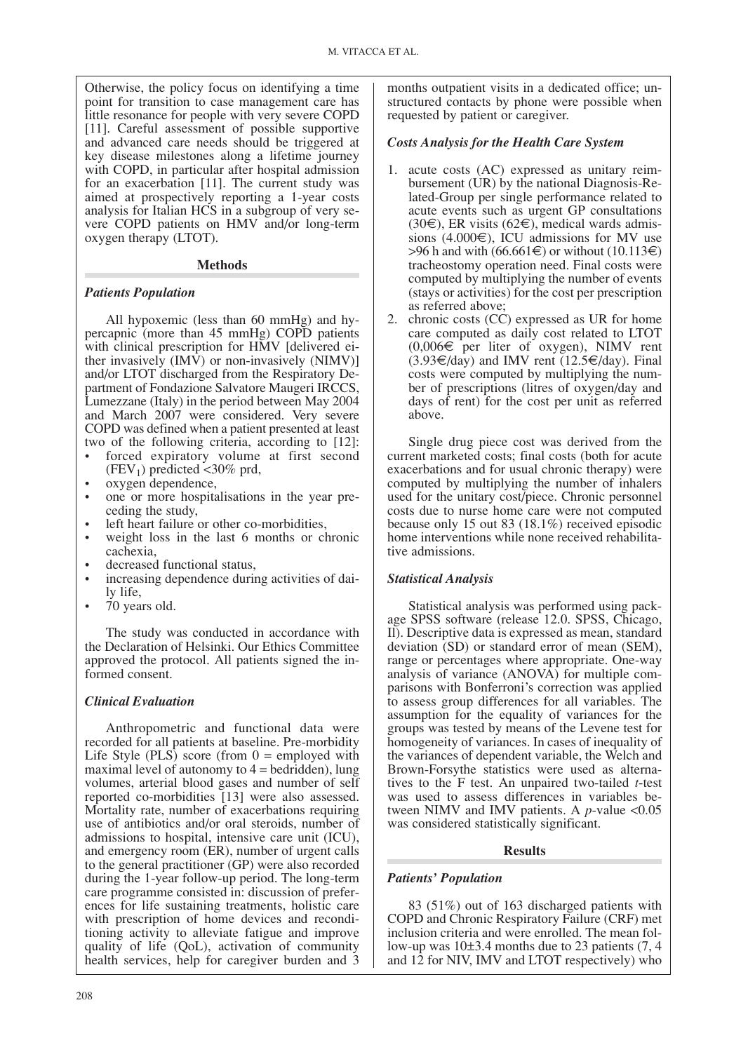Otherwise, the policy focus on identifying a time point for transition to case management care has little resonance for people with very severe COPD [11]. Careful assessment of possible supportive and advanced care needs should be triggered at key disease milestones along a lifetime journey with COPD, in particular after hospital admission for an exacerbation [11]. The current study was aimed at prospectively reporting a 1-year costs analysis for Italian HCS in a subgroup of very severe COPD patients on HMV and/or long-term oxygen therapy (LTOT).

### **Methods**

## *Patients Population*

All hypoxemic (less than 60 mmHg) and hypercapnic (more than 45 mmHg) COPD patients with clinical prescription for HMV [delivered either invasively (IMV) or non-invasively (NIMV)] and/or LTOT discharged from the Respiratory Department of Fondazione Salvatore Maugeri IRCCS, Lumezzane (Italy) in the period between May 2004 and March 2007 were considered. Very severe COPD was defined when a patient presented at least two of the following criteria, according to [12]:

- forced expiratory volume at first second (FEV<sub>1</sub>) predicted <30% prd,
- oxygen dependence,
- one or more hospitalisations in the year preceding the study,
- left heart failure or other co-morbidities,
- weight loss in the last 6 months or chronic cachexia,
- decreased functional status,
- increasing dependence during activities of daily life,
- 70 years old.

The study was conducted in accordance with the Declaration of Helsinki. Our Ethics Committee approved the protocol. All patients signed the informed consent.

# *Clinical Evaluation*

Anthropometric and functional data were recorded for all patients at baseline. Pre-morbidity Life Style (PLS) score (from  $0 =$  employed with maximal level of autonomy to  $4 =$  bedridden), lung volumes, arterial blood gases and number of self reported co-morbidities [13] were also assessed. Mortality rate, number of exacerbations requiring use of antibiotics and/or oral steroids, number of admissions to hospital, intensive care unit (ICU), and emergency room (ER), number of urgent calls to the general practitioner (GP) were also recorded during the 1-year follow-up period. The long-term care programme consisted in: discussion of preferences for life sustaining treatments, holistic care with prescription of home devices and reconditioning activity to alleviate fatigue and improve quality of life (QoL), activation of community health services, help for caregiver burden and 3

months outpatient visits in a dedicated office; unstructured contacts by phone were possible when requested by patient or caregiver.

# *Costs Analysis for the Health Care System*

- 1. acute costs (AC) expressed as unitary reimbursement (UR) by the national Diagnosis-Related-Group per single performance related to acute events such as urgent GP consultations  $(30\epsilon)$ , ER visits  $(62\epsilon)$ , medical wards admissions (4.000€), ICU admissions for MV use >96 h and with (66.661€) or without (10.113€) tracheostomy operation need. Final costs were computed by multiplying the number of events (stays or activities) for the cost per prescription as referred above;
- 2. chronic costs (CC) expressed as UR for home care computed as daily cost related to LTOT  $(0,006\epsilon)$  per liter of oxygen), NIMV rent  $(3.93\epsilon/day)$  and IMV rent  $(12.5\epsilon/day)$ . Final costs were computed by multiplying the number of prescriptions (litres of oxygen/day and days of rent) for the cost per unit as referred above.

Single drug piece cost was derived from the current marketed costs; final costs (both for acute exacerbations and for usual chronic therapy) were computed by multiplying the number of inhalers used for the unitary cost/piece. Chronic personnel costs due to nurse home care were not computed because only 15 out 83 (18.1%) received episodic home interventions while none received rehabilitative admissions.

# *Statistical Analysis*

Statistical analysis was performed using package SPSS software (release 12.0. SPSS, Chicago, Il). Descriptive data is expressed as mean, standard deviation (SD) or standard error of mean (SEM), range or percentages where appropriate. One-way analysis of variance (ANOVA) for multiple comparisons with Bonferroni's correction was applied to assess group differences for all variables. The assumption for the equality of variances for the groups was tested by means of the Levene test for homogeneity of variances. In cases of inequality of the variances of dependent variable, the Welch and Brown-Forsythe statistics were used as alternatives to the F test. An unpaired two-tailed *t*-test was used to assess differences in variables between NIMV and IMV patients. A  $p$ -value <0.05 was considered statistically significant.

# **Results**

# *Patients' Population*

83 (51%) out of 163 discharged patients with COPD and Chronic Respiratory Failure (CRF) met inclusion criteria and were enrolled. The mean follow-up was 10±3.4 months due to 23 patients (7, 4 and 12 for NIV, IMV and LTOT respectively) who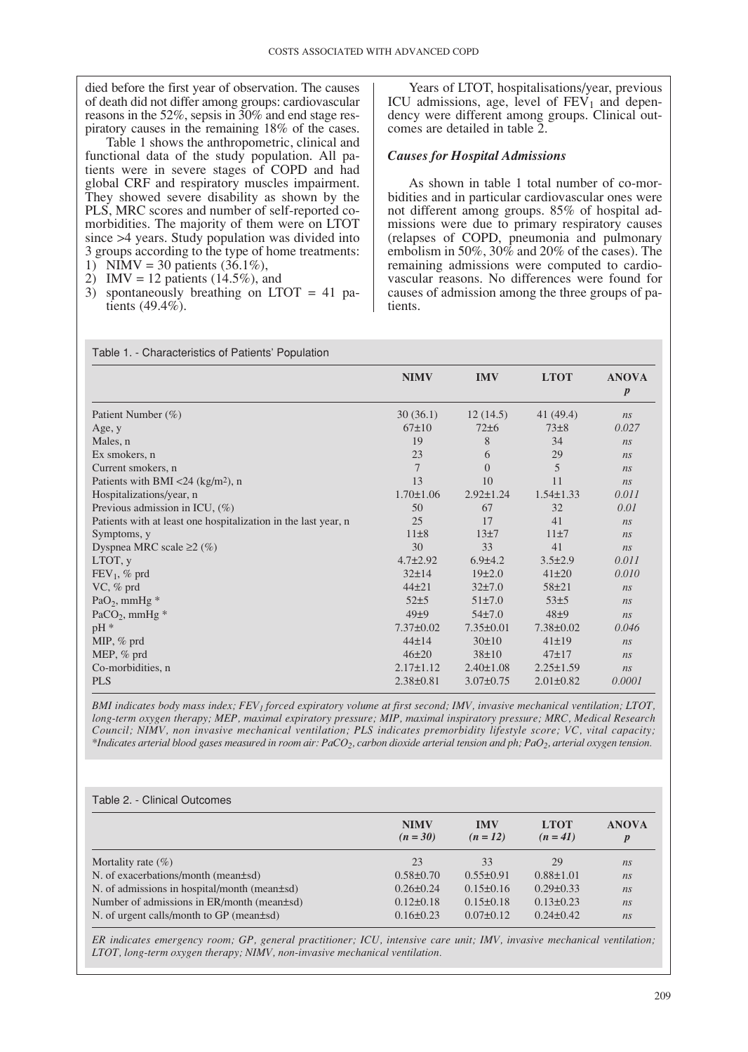died before the first year of observation. The causes of death did not differ among groups: cardiovascular reasons in the 52%, sepsis in 30% and end stage respiratory causes in the remaining 18% of the cases.

Table 1 shows the anthropometric, clinical and functional data of the study population. All patients were in severe stages of COPD and had global CRF and respiratory muscles impairment. They showed severe disability as shown by the PLS, MRC scores and number of self-reported comorbidities. The majority of them were on LTOT since >4 years. Study population was divided into 3 groups according to the type of home treatments:

- 1) NIMV = 30 patients  $(36.1\%)$ ,
- 2) IMV = 12 patients (14.5%), and
- 3) spontaneously breathing on LTOT = 41 patients (49.4%).

Years of LTOT, hospitalisations/year, previous ICU admissions, age, level of  $FEV<sub>1</sub>$  and dependency were different among groups. Clinical outcomes are detailed in table 2.

#### *Causes for Hospital Admissions*

As shown in table 1 total number of co-morbidities and in particular cardiovascular ones were not different among groups. 85% of hospital admissions were due to primary respiratory causes (relapses of COPD, pneumonia and pulmonary embolism in 50%, 30% and 20% of the cases). The remaining admissions were computed to cardiovascular reasons. No differences were found for causes of admission among the three groups of patients.

| Table 1. - Characteristics of Patients' Population |  |  |  |  |
|----------------------------------------------------|--|--|--|--|
|----------------------------------------------------|--|--|--|--|

|                                                                | <b>NIMV</b>     | <b>IMV</b>      | <b>LTOT</b>     | <b>ANOVA</b><br>$\boldsymbol{p}$ |
|----------------------------------------------------------------|-----------------|-----------------|-----------------|----------------------------------|
| Patient Number (%)                                             | 30(36.1)        | 12(14.5)        | 41 (49.4)       | ns                               |
| Age, y                                                         | 67±10           | 72±6            | $73\pm8$        | 0.027                            |
| Males, n                                                       | 19              | 8               | 34              | ns                               |
| Ex smokers, n                                                  | 23              | 6               | 29              | ns                               |
| Current smokers, n                                             | $\overline{7}$  | $\overline{0}$  | 5               | ns                               |
| Patients with BMI <24 ( $\text{kg/m}^2$ ), n                   | 13              | 10              | 11              | ns                               |
| Hospitalizations/year, n                                       | $1.70 \pm 1.06$ | $2.92 \pm 1.24$ | $1.54 \pm 1.33$ | 0.011                            |
| Previous admission in ICU, $(\%)$                              | 50              | 67              | 32              | 0.01                             |
| Patients with at least one hospitalization in the last year, n | 25              | 17              | 41              | ns                               |
| Symptoms, y                                                    | $11\pm8$        | $13\pm7$        | $11\pm7$        | ns                               |
| Dyspnea MRC scale $\geq$ 2 (%)                                 | 30              | 33              | 41              | ns                               |
| LTOT, y                                                        | $4.7 \pm 2.92$  | $6.9{\pm}4.2$   | $3.5 \pm 2.9$   | 0.011                            |
| $FEV_1$ , % prd                                                | $32 \pm 14$     | 19±2.0          | $41\pm20$       | 0.010                            |
| VC, $%$ prd                                                    | $44 + 21$       | 32±7.0          | $58 + 21$       | ns                               |
| PaO <sub>2</sub> , mmHg $*$                                    | $52\pm5$        | 51±7.0          | $53\pm5$        | ns                               |
| PaCO <sub>2</sub> , mmHg $*$                                   | 49±9            | $54\pm7.0$      | $48\pm9$        | ns                               |
| $pH*$                                                          | $7.37 \pm 0.02$ | $7.35 \pm 0.01$ | $7.38 \pm 0.02$ | 0.046                            |
| MIP, $%$ prd                                                   | $44 \pm 14$     | 30±10           | $41\pm19$       | ns                               |
| MEP, % prd                                                     | $46 + 20$       | 38±10           | $47 + 17$       | ns                               |
| Co-morbidities, n                                              | $2.17 \pm 1.12$ | $2.40 \pm 1.08$ | $2.25 \pm 1.59$ | ns                               |
| <b>PLS</b>                                                     | $2.38 \pm 0.81$ | $3.07 \pm 0.75$ | $2.01 \pm 0.82$ | 0.0001                           |

*BMI indicates body mass index; FEV1 forced expiratory volume at first second; IMV, invasive mechanical ventilation; LTOT, long-term oxygen therapy; MEP, maximal expiratory pressure; MIP, maximal inspiratory pressure; MRC, Medical Research Council; NIMV, non invasive mechanical ventilation; PLS indicates premorbidity lifestyle score; VC, vital capacity; \*Indicates arterial blood gases measured in room air: PaCO2, carbon dioxide arterial tension and ph; PaO2, arterial oxygen tension.*

|  | Table 2. - Clinical Outcomes |
|--|------------------------------|
|--|------------------------------|

|                                              | <b>NIMV</b><br>$(n = 30)$ | <b>IMV</b><br>$(n = 12)$ | <b>LTOT</b><br>$(n = 41)$ | <b>ANOVA</b><br>p |
|----------------------------------------------|---------------------------|--------------------------|---------------------------|-------------------|
| Mortality rate $(\%)$                        | 23                        | 33                       | 29                        | ns                |
| N. of exacerbations/month (mean±sd)          | $0.58 \pm 0.70$           | $0.55 \pm 0.91$          | $0.88 \pm 1.01$           | ns                |
| N. of admissions in hospital/month (mean±sd) | $0.26 \pm 0.24$           | $0.15 \pm 0.16$          | $0.29 \pm 0.33$           | ns                |
| Number of admissions in ER/month (mean±sd)   | $0.12 \pm 0.18$           | $0.15 \pm 0.18$          | $0.13 \pm 0.23$           | ns                |
| N. of urgent calls/month to GP (mean±sd)     | $0.16 \pm 0.23$           | $0.07 \pm 0.12$          | $0.24 \pm 0.42$           | ns                |

*ER indicates emergency room; GP, general practitioner; ICU, intensive care unit; IMV, invasive mechanical ventilation; LTOT, long-term oxygen therapy; NIMV, non-invasive mechanical ventilation.*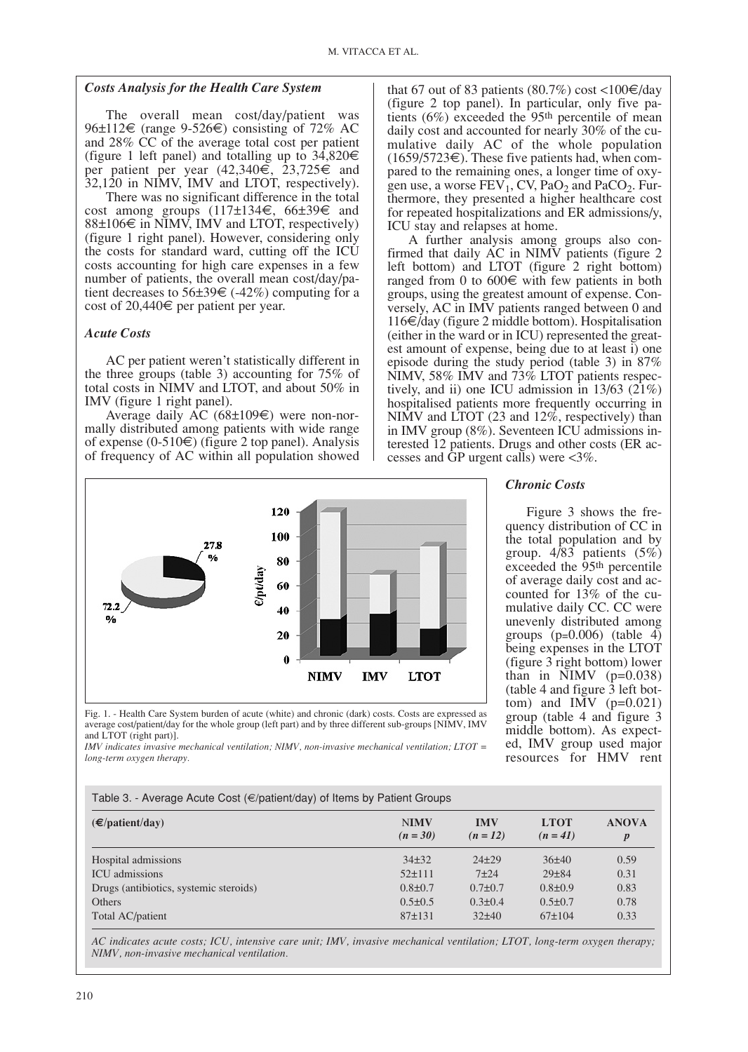## *Costs Analysis for the Health Care System*

The overall mean cost/day/patient was 96±112€ (range 9-526€) consisting of 72% AC and 28% CC of the average total cost per patient (figure 1 left panel) and totalling up to  $34,820 \in$ per patient per year (42,340€, 23,725€ and 32,120 in NIMV, IMV and LTOT, respectively).

There was no significant difference in the total cost among groups (117±134€, 66±39€ and  $88\pm106\epsilon$  in NIMV, IMV and LTOT, respectively) (figure 1 right panel). However, considering only the costs for standard ward, cutting off the ICU costs accounting for high care expenses in a few number of patients, the overall mean cost/day/patient decreases to  $56\pm39\in(42\%)$  computing for a cost of 20,440€ per patient per year.

### *Acute Costs*

AC per patient weren't statistically different in the three groups (table 3) accounting for 75% of total costs in NIMV and LTOT, and about 50% in IMV (figure 1 right panel).

Average daily AC (68±109€) were non-normally distributed among patients with wide range of expense (0-510€) (figure 2 top panel). Analysis of frequency of AC within all population showed that 67 out of 83 patients (80.7%) cost <100€/day (figure 2 top panel). In particular, only five patients (6%) exceeded the 95th percentile of mean daily cost and accounted for nearly 30% of the cumulative daily AC of the whole population (1659/5723€). These five patients had, when compared to the remaining ones, a longer time of oxygen use, a worse  $FEV_1$ , CV, PaO<sub>2</sub> and PaCO<sub>2</sub>. Furthermore, they presented a higher healthcare cost for repeated hospitalizations and ER admissions/y, ICU stay and relapses at home.

A further analysis among groups also confirmed that daily AC in NIMV patients (figure 2 left bottom) and LTOT (figure 2 right bottom) ranged from 0 to 600€ with few patients in both groups, using the greatest amount of expense. Conversely, AC in IMV patients ranged between 0 and 116€/day (figure 2 middle bottom). Hospitalisation (either in the ward or in ICU) represented the greatest amount of expense, being due to at least i) one episode during the study period (table 3) in 87% NIMV, 58% IMV and  $73\%$  LTOT patients respectively, and ii) one ICU admission in 13/63 (21%) hospitalised patients more frequently occurring in NIMV and LTOT (23 and  $12\%$ , respectively) than in IMV group (8%). Seventeen ICU admissions interested 12 patients. Drugs and other costs (ER accesses and GP urgent calls) were <3%.



#### *Chronic Costs*

Figure 3 shows the frequency distribution of CC in the total population and by group. 4/83 patients (5%) exceeded the 95th percentile of average daily cost and accounted for 13% of the cumulative daily CC. CC were unevenly distributed among groups (p**=**0.006) (table 4) being expenses in the LTOT (figure 3 right bottom) lower than in NIMV  $(p=0.038)$ (table 4 and figure 3 left bottom) and  $IMV$  ( $p=0.021$ ) group (table 4 and figure 3 middle bottom). As expected, IMV group used major resources for HMV rent

Fig. 1. - Health Care System burden of acute (white) and chronic (dark) costs. Costs are expressed as average cost/patient/day for the whole group (left part) and by three different sub-groups [NIMV, IMV and LTOT (right part)].

*IMV indicates invasive mechanical ventilation; NIMV, non-invasive mechanical ventilation; LTOT = long-term oxygen therapy.*

### Table 3. - Average Acute Cost (€/patient/day) of Items by Patient Groups

| $(\epsilon$ /patient/day)              | <b>NIMV</b><br>$(n = 30)$ | <b>IMV</b><br>$(n = 12)$ | <b>LTOT</b><br>$(n = 41)$ | <b>ANOVA</b><br>p |
|----------------------------------------|---------------------------|--------------------------|---------------------------|-------------------|
| Hospital admissions                    | $34\pm32$                 | $24\pm 29$               | 36±40                     | 0.59              |
| ICU admissions                         | $52\pm111$                | $7 + 24$                 | $29 + 84$                 | 0.31              |
| Drugs (antibiotics, systemic steroids) | $0.8{\pm}0.7$             | $0.7 \pm 0.7$            | $0.8 \pm 0.9$             | 0.83              |
| <b>Others</b>                          | $0.5 \pm 0.5$             | $0.3 \pm 0.4$            | $0.5 \pm 0.7$             | 0.78              |
| Total AC/patient                       | 87±131                    | $32\pm40$                | $67 \pm 104$              | 0.33              |

*AC indicates acute costs; ICU, intensive care unit; IMV, invasive mechanical ventilation; LTOT, long-term oxygen therapy; NIMV, non-invasive mechanical ventilation.*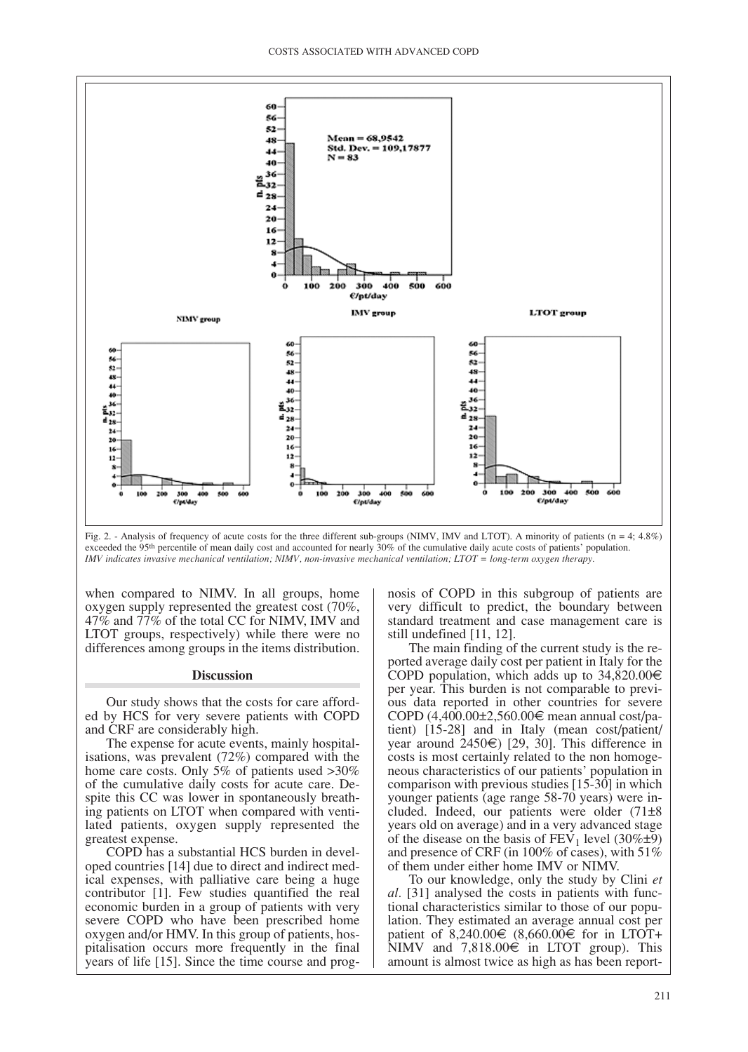

Fig. 2. - Analysis of frequency of acute costs for the three different sub-groups (NIMV, IMV and LTOT). A minority of patients (n = 4; 4.8%) exceeded the 95<sup>th</sup> percentile of mean daily cost and accounted for nearly 30% of the cumulative daily acute costs of patients' population. *IMV indicates invasive mechanical ventilation; NIMV, non-invasive mechanical ventilation; LTOT = long-term oxygen therapy.*

when compared to NIMV. In all groups, home oxygen supply represented the greatest cost (70%, 47% and 77% of the total CC for NIMV, IMV and LTOT groups, respectively) while there were no differences among groups in the items distribution.

#### **Discussion**

Our study shows that the costs for care afforded by HCS for very severe patients with COPD and CRF are considerably high.

The expense for acute events, mainly hospitalisations, was prevalent (72%) compared with the home care costs. Only 5% of patients used >30% of the cumulative daily costs for acute care. Despite this CC was lower in spontaneously breathing patients on LTOT when compared with ventilated patients, oxygen supply represented the greatest expense.

COPD has a substantial HCS burden in developed countries [14] due to direct and indirect medical expenses, with palliative care being a huge contributor [1]. Few studies quantified the real economic burden in a group of patients with very severe COPD who have been prescribed home oxygen and/or HMV. In this group of patients, hospitalisation occurs more frequently in the final years of life [15]. Since the time course and prognosis of COPD in this subgroup of patients are very difficult to predict, the boundary between standard treatment and case management care is still undefined [11, 12].

The main finding of the current study is the reported average daily cost per patient in Italy for the COPD population, which adds up to  $34,820.00 \in$ per year. This burden is not comparable to previous data reported in other countries for severe COPD (4,400.00±2,560.00€ mean annual cost/patient) [15-28] and in Italy (mean cost/patient/ year around  $2450\epsilon$ ) [29, 30]. This difference in costs is most certainly related to the non homogeneous characteristics of our patients' population in comparison with previous studies [15-30] in which younger patients (age range 58-70 years) were included. Indeed, our patients were older (71±8 years old on average) and in a very advanced stage of the disease on the basis of  $FEV_1$  level (30% $\pm 9$ ) and presence of CRF (in 100% of cases), with 51% of them under either home IMV or NIMV.

To our knowledge, only the study by Clini *et al.* [31] analysed the costs in patients with functional characteristics similar to those of our population. They estimated an average annual cost per patient of 8,240.00€ (8,660.00€ for in LTOT+ NIMV and  $7,818.00\epsilon$  in LTOT group). This amount is almost twice as high as has been report-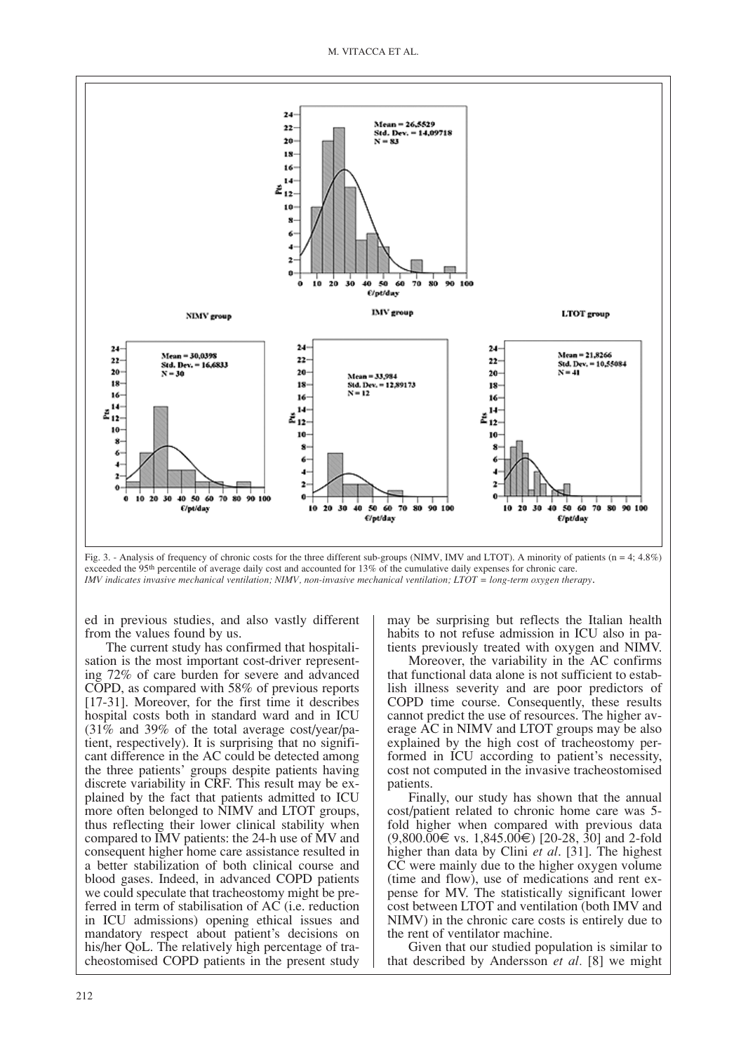

Fig. 3. - Analysis of frequency of chronic costs for the three different sub-groups (NIMV, IMV and LTOT). A minority of patients (n = 4; 4.8%) exceeded the 95th percentile of average daily cost and accounted for 13% of the cumulative daily expenses for chronic care. *IMV indicates invasive mechanical ventilation; NIMV, non-invasive mechanical ventilation; LTOT = long-term oxygen therapy.*

ed in previous studies, and also vastly different from the values found by us.

The current study has confirmed that hospitalisation is the most important cost-driver representing 72% of care burden for severe and advanced COPD, as compared with 58% of previous reports [17-31]. Moreover, for the first time it describes hospital costs both in standard ward and in ICU (31% and 39% of the total average cost/year/patient, respectively). It is surprising that no significant difference in the AC could be detected among the three patients' groups despite patients having discrete variability in CRF. This result may be explained by the fact that patients admitted to ICU more often belonged to NIMV and LTOT groups, thus reflecting their lower clinical stability when compared to IMV patients: the 24-h use of MV and consequent higher home care assistance resulted in a better stabilization of both clinical course and blood gases. Indeed, in advanced COPD patients we could speculate that tracheostomy might be preferred in term of stabilisation of AC (i.e. reduction in ICU admissions) opening ethical issues and mandatory respect about patient's decisions on his/her QoL. The relatively high percentage of tracheostomised COPD patients in the present study

may be surprising but reflects the Italian health habits to not refuse admission in ICU also in patients previously treated with oxygen and NIMV.

Moreover, the variability in the AC confirms that functional data alone is not sufficient to establish illness severity and are poor predictors of COPD time course. Consequently, these results cannot predict the use of resources. The higher average AC in NIMV and LTOT groups may be also explained by the high cost of tracheostomy performed in ICU according to patient's necessity, cost not computed in the invasive tracheostomised patients.

Finally, our study has shown that the annual cost/patient related to chronic home care was 5 fold higher when compared with previous data  $(9,800.00 \in \text{vs. } 1,845.00 \in \text{F}$  [20-28, 30] and 2-fold higher than data by Clini *et al*. [31]. The highest CC were mainly due to the higher oxygen volume (time and flow), use of medications and rent expense for MV. The statistically significant lower cost between LTOT and ventilation (both IMV and NIMV) in the chronic care costs is entirely due to the rent of ventilator machine.

Given that our studied population is similar to that described by Andersson *et al.* [8] we might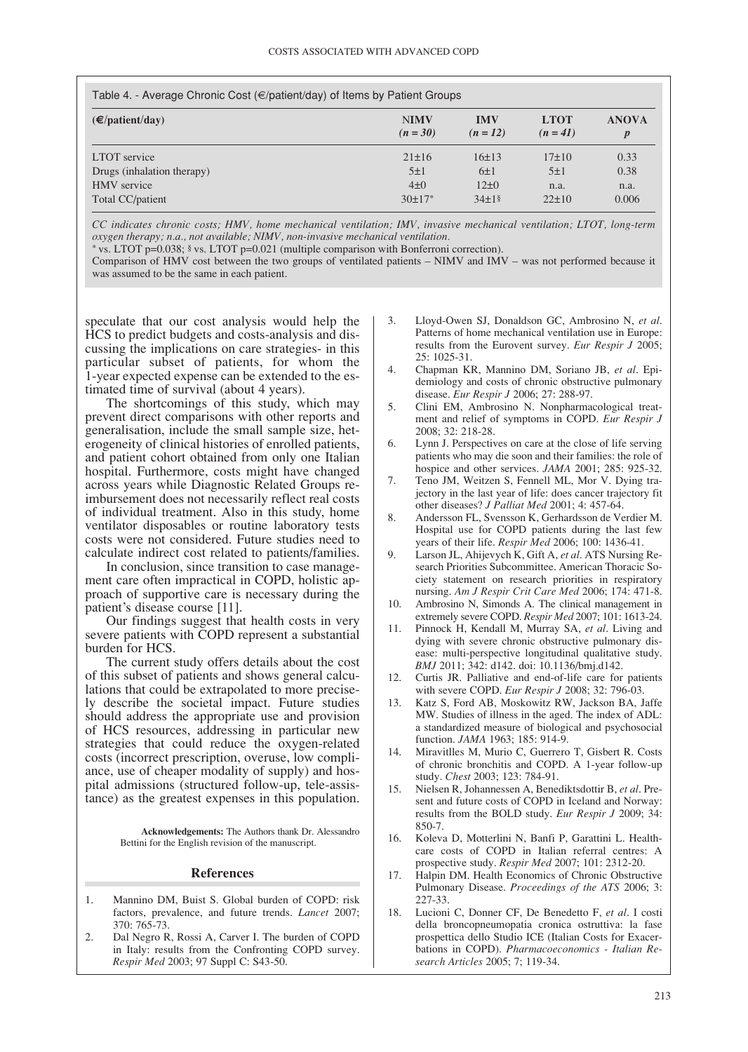| Table 4. - Average Chronic Cost (€/patient/day) of Items by Patient Groups |                           |                          |                           |                                  |
|----------------------------------------------------------------------------|---------------------------|--------------------------|---------------------------|----------------------------------|
| $(\epsilon$ /patient/day)                                                  | <b>NIMV</b><br>$(n = 30)$ | <b>IMV</b><br>$(n = 12)$ | <b>LTOT</b><br>$(n = 41)$ | <b>ANOVA</b><br>$\boldsymbol{p}$ |
| LTOT service                                                               | $21 \pm 16$               | 16±13                    | $17\pm10$                 | 0.33                             |
| Drugs (inhalation therapy)                                                 | 5±1                       | 6±1                      | 5±1                       | 0.38                             |
| <b>HMV</b> service                                                         | $4\pm 0$                  | $12\pm0$                 | n.a.                      | n.a.                             |
| Total CC/patient                                                           | $30\pm17$ *               | $34 \pm 1$               | $22 \pm 10$               | 0.006                            |

*CC indicates chronic costs; HMV, home mechanical ventilation; IMV, invasive mechanical ventilation; LTOT, long-term oxygen therapy; n.a., not available; NIMV, non-invasive mechanical ventilation.*

\* vs. LTOT p=0.038; § vs. LTOT p=0.021 (multiple comparison with Bonferroni correction).

Comparison of HMV cost between the two groups of ventilated patients – NIMV and IMV – was not performed because it was assumed to be the same in each patient.

speculate that our cost analysis would help the HCS to predict budgets and costs-analysis and discussing the implications on care strategies- in this particular subset of patients, for whom the 1-year expected expense can be extended to the estimated time of survival (about 4 years).

The shortcomings of this study, which may prevent direct comparisons with other reports and generalisation, include the small sample size, heterogeneity of clinical histories of enrolled patients, and patient cohort obtained from only one Italian hospital. Furthermore, costs might have changed across years while Diagnostic Related Groups reimbursement does not necessarily reflect real costs of individual treatment. Also in this study, home ventilator disposables or routine laboratory tests costs were not considered. Future studies need to calculate indirect cost related to patients/families.

In conclusion, since transition to case management care often impractical in COPD, holistic approach of supportive care is necessary during the patient's disease course [11].

Our findings suggest that health costs in very severe patients with COPD represent a substantial burden for HCS.

The current study offers details about the cost of this subset of patients and shows general calculations that could be extrapolated to more precisely describe the societal impact. Future studies should address the appropriate use and provision of HCS resources, addressing in particular new strategies that could reduce the oxygen-related costs (incorrect prescription, overuse, low compliance, use of cheaper modality of supply) and hospital admissions (structured follow-up, tele-assistance) as the greatest expenses in this population.

> **Acknowledgements:** The Authors thank Dr. Alessandro Bettini for the English revision of the manuscript.

#### **References**

- 1. Mannino DM, Buist S. Global burden of COPD: risk factors, prevalence, and future trends. *Lancet* 2007; 370: 765-73.
- 2. Dal Negro R, Rossi A, Carver I. The burden of COPD in Italy: results from the Confronting COPD survey. *Respir Med* 2003; 97 Suppl C: S43-50.
- 3. Lloyd-Owen SJ, Donaldson GC, Ambrosino N, *et al*. Patterns of home mechanical ventilation use in Europe: results from the Eurovent survey. *Eur Respir J* 2005; 25: 1025-31.
- 4. Chapman KR, Mannino DM, Soriano JB, *et al*. Epidemiology and costs of chronic obstructive pulmonary disease. *Eur Respir J* 2006; 27: 288-97.
- 5. Clini EM, Ambrosino N. Nonpharmacological treatment and relief of symptoms in COPD. *Eur Respir J* 2008; 32: 218-28.
- 6. Lynn J. Perspectives on care at the close of life serving patients who may die soon and their families: the role of hospice and other services. *JAMA* 2001; 285: 925-32.
- 7. Teno JM, Weitzen S, Fennell ML, Mor V. Dying trajectory in the last year of life: does cancer trajectory fit other diseases? *J Palliat Med* 2001; 4: 457-64.
- 8. Andersson FL, Svensson K, Gerhardsson de Verdier M. Hospital use for COPD patients during the last few years of their life. *Respir Med* 2006; 100: 1436-41.
- 9. Larson JL, Ahijevych K, Gift A, *et al*. ATS Nursing Research Priorities Subcommittee. American Thoracic Society statement on research priorities in respiratory nursing. *Am J Respir Crit Care Med* 2006; 174: 471-8.
- 10. Ambrosino N, Simonds A. The clinical management in extremely severe COPD. *Respir Med* 2007; 101: 1613-24.
- 11. Pinnock H, Kendall M, Murray SA, *et al*. Living and dying with severe chronic obstructive pulmonary disease: multi-perspective longitudinal qualitative study. *BMJ* 2011; 342: d142. doi: 10.1136/bmj.d142.
- 12. Curtis JR. Palliative and end-of-life care for patients with severe COPD. *Eur Respir J* 2008; 32: 796-03.
- 13. Katz S, Ford AB, Moskowitz RW, Jackson BA, Jaffe MW. Studies of illness in the aged. The index of ADL: a standardized measure of biological and psychosocial function. *JAMA* 1963; 185: 914-9.
- 14. Miravitlles M, Murio C, Guerrero T, Gisbert R. Costs of chronic bronchitis and COPD. A 1-year follow-up study. *Chest* 2003; 123: 784-91.
- 15. Nielsen R, Johannessen A, Benediktsdottir B, *et al*. Present and future costs of COPD in Iceland and Norway: results from the BOLD study. *Eur Respir J* 2009; 34: 850-7.
- 16. Koleva D, Motterlini N, Banfi P, Garattini L. Healthcare costs of COPD in Italian referral centres: A prospective study. *Respir Med* 2007; 101: 2312-20.
- 17. Halpin DM. Health Economics of Chronic Obstructive Pulmonary Disease. *Proceedings of the ATS* 2006; 3: 227-33.
- 18. Lucioni C, Donner CF, De Benedetto F, *et al*. I costi della broncopneumopatia cronica ostruttiva: la fase prospettica dello Studio ICE (Italian Costs for Exacerbations in COPD). *Pharmacoeconomics - Italian Research Articles* 2005; 7; 119-34.